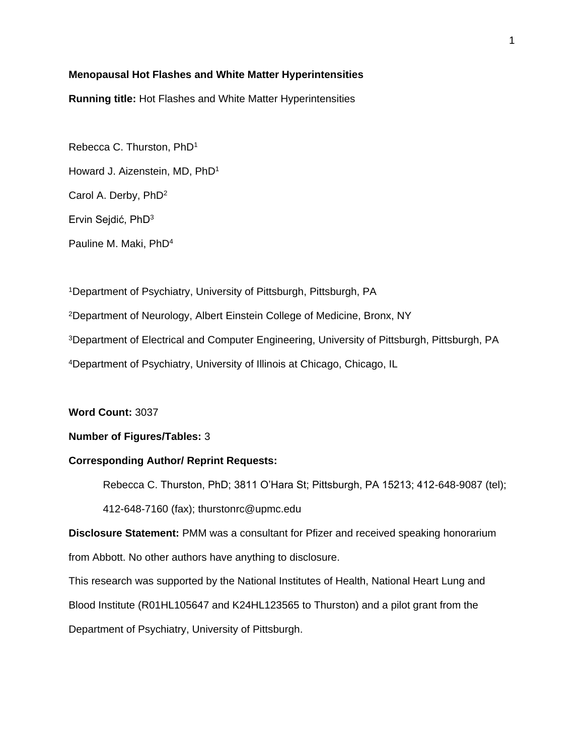# **Menopausal Hot Flashes and White Matter Hyperintensities**

**Running title:** Hot Flashes and White Matter Hyperintensities

Rebecca C. Thurston, PhD<sup>1</sup> Howard J. Aizenstein, MD, PhD<sup>1</sup> Carol A. Derby, PhD<sup>2</sup> Ervin Sejdić, PhD<sup>3</sup> Pauline M. Maki, PhD<sup>4</sup>

Department of Psychiatry, University of Pittsburgh, Pittsburgh, PA Department of Neurology, Albert Einstein College of Medicine, Bronx, NY Department of Electrical and Computer Engineering, University of Pittsburgh, Pittsburgh, PA Department of Psychiatry, University of Illinois at Chicago, Chicago, IL

**Word Count:** 3037

# **Number of Figures/Tables:** 3

#### **Corresponding Author/ Reprint Requests:**

Rebecca C. Thurston, PhD; 3811 O'Hara St; Pittsburgh, PA 15213; 412-648-9087 (tel); 412-648-7160 (fax); thurstonrc@upmc.edu

**Disclosure Statement:** PMM was a consultant for Pfizer and received speaking honorarium from Abbott. No other authors have anything to disclosure.

This research was supported by the National Institutes of Health, National Heart Lung and Blood Institute (R01HL105647 and K24HL123565 to Thurston) and a pilot grant from the Department of Psychiatry, University of Pittsburgh.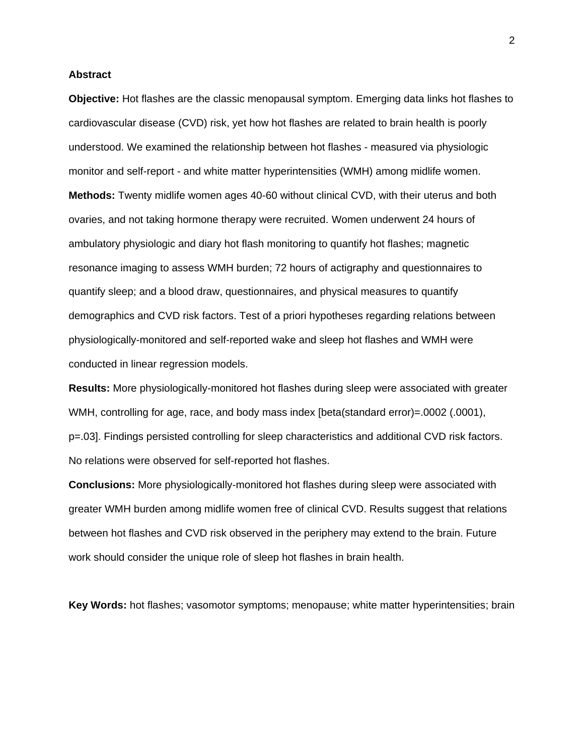### **Abstract**

**Objective:** Hot flashes are the classic menopausal symptom. Emerging data links hot flashes to cardiovascular disease (CVD) risk, yet how hot flashes are related to brain health is poorly understood. We examined the relationship between hot flashes - measured via physiologic monitor and self-report - and white matter hyperintensities (WMH) among midlife women. **Methods:** Twenty midlife women ages 40-60 without clinical CVD, with their uterus and both ovaries, and not taking hormone therapy were recruited. Women underwent 24 hours of ambulatory physiologic and diary hot flash monitoring to quantify hot flashes; magnetic resonance imaging to assess WMH burden; 72 hours of actigraphy and questionnaires to quantify sleep; and a blood draw, questionnaires, and physical measures to quantify demographics and CVD risk factors. Test of a priori hypotheses regarding relations between physiologically-monitored and self-reported wake and sleep hot flashes and WMH were conducted in linear regression models.

**Results:** More physiologically-monitored hot flashes during sleep were associated with greater WMH, controlling for age, race, and body mass index [beta(standard error)=.0002 (.0001), p=.03]. Findings persisted controlling for sleep characteristics and additional CVD risk factors. No relations were observed for self-reported hot flashes.

**Conclusions:** More physiologically-monitored hot flashes during sleep were associated with greater WMH burden among midlife women free of clinical CVD. Results suggest that relations between hot flashes and CVD risk observed in the periphery may extend to the brain. Future work should consider the unique role of sleep hot flashes in brain health.

**Key Words:** hot flashes; vasomotor symptoms; menopause; white matter hyperintensities; brain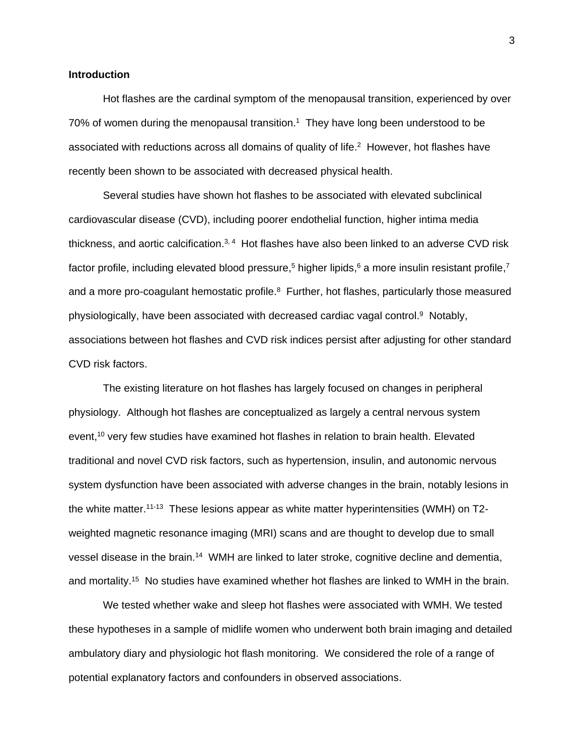## **Introduction**

Hot flashes are the cardinal symptom of the menopausal transition, experienced by over 70% of women during the menopausal transition[.](#page-14-0) <sup>1</sup> They have long been understood to be associated with reductions across all domains of quality of life[.](#page-14-1)<sup>2</sup> However, hot flashes have recently been shown to be associated with decreased physical health.

Several studies have shown hot flashes to be associated with elevated subclinical cardiovascular disease (CVD), including poorer endothelial function, higher intima media thickness, and aortic calcification.<sup>[3,](#page-14-2) [4](#page-14-3)</sup> Hot flashes have also been linked to an adverse CVD risk factor profile[,](#page-14-6) including elevated blood pressure,<sup>5</sup> higher lipids,<sup>[6](#page-14-5)</sup> a more insulin resistant profile,<sup>7</sup> and a more pro-coagulant hemostatic profile.<sup>[8](#page-14-7)</sup> Further, hot flashes, particularly those measured physiologically, have been associated with decreased cardiac vagal control. [9](#page-14-8) Notably, associations between hot flashes and CVD risk indices persist after adjusting for other standard CVD risk factors.

The existing literature on hot flashes has largely focused on changes in peripheral physiology. Although hot flashes are conceptualized as largely a central nervous system event, [10](#page-14-9) very few studies have examined hot flashes in relation to brain health. Elevated traditional and novel CVD risk factors, such as hypertension, insulin, and autonomic nervous system dysfunction have been associated with adverse changes in the brain, notably lesions in the white matter.<sup>[11-13](#page-15-0)</sup> These lesions appear as white matter hyperintensities (WMH) on T2weighted magnetic resonance imaging (MRI) scans and are thought to develop due to small vessel disease in the brain.<sup>[14](#page-15-1)</sup> WMH are linked to later stroke, cognitive decline and dementia, and mortality. [15](#page-15-2) No studies have examined whether hot flashes are linked to WMH in the brain.

We tested whether wake and sleep hot flashes were associated with WMH. We tested these hypotheses in a sample of midlife women who underwent both brain imaging and detailed ambulatory diary and physiologic hot flash monitoring. We considered the role of a range of potential explanatory factors and confounders in observed associations.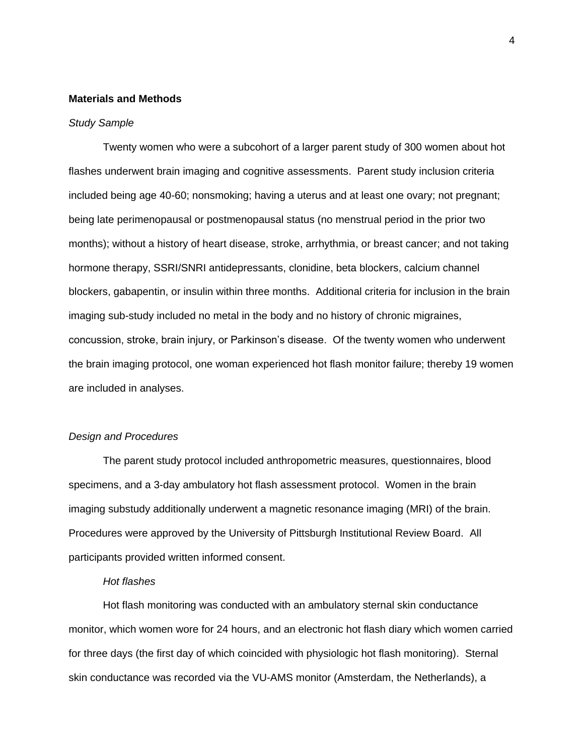## **Materials and Methods**

#### *Study Sample*

Twenty women who were a subcohort of a larger parent study of 300 women about hot flashes underwent brain imaging and cognitive assessments. Parent study inclusion criteria included being age 40-60; nonsmoking; having a uterus and at least one ovary; not pregnant; being late perimenopausal or postmenopausal status (no menstrual period in the prior two months); without a history of heart disease, stroke, arrhythmia, or breast cancer; and not taking hormone therapy, SSRI/SNRI antidepressants, clonidine, beta blockers, calcium channel blockers, gabapentin, or insulin within three months. Additional criteria for inclusion in the brain imaging sub-study included no metal in the body and no history of chronic migraines, concussion, stroke, brain injury, or Parkinson's disease. Of the twenty women who underwent the brain imaging protocol, one woman experienced hot flash monitor failure; thereby 19 women are included in analyses.

# *Design and Procedures*

The parent study protocol included anthropometric measures, questionnaires, blood specimens, and a 3-day ambulatory hot flash assessment protocol. Women in the brain imaging substudy additionally underwent a magnetic resonance imaging (MRI) of the brain. Procedures were approved by the University of Pittsburgh Institutional Review Board. All participants provided written informed consent.

## *Hot flashes*

Hot flash monitoring was conducted with an ambulatory sternal skin conductance monitor, which women wore for 24 hours, and an electronic hot flash diary which women carried for three days (the first day of which coincided with physiologic hot flash monitoring). Sternal skin conductance was recorded via the VU-AMS monitor (Amsterdam, the Netherlands), a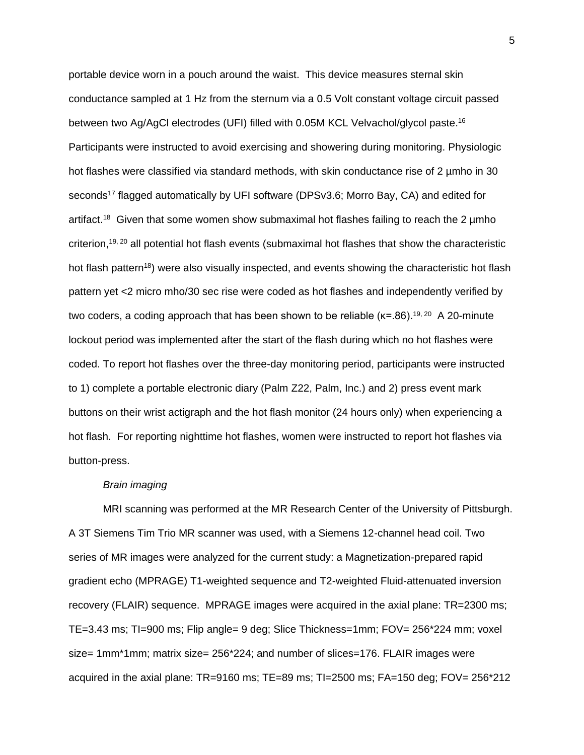portable device worn in a pouch around the waist. This device measures sternal skin conductance sampled at 1 Hz from the sternum via a 0.5 Volt constant voltage circuit passed between two Ag/AgCl electrodes (UFI) filled with 0.05M KCL Velvachol/glycol paste.<sup>[16](#page-15-3)</sup> Participants were instructed to avoid exercising and showering during monitoring. Physiologic hot flashes were classified via standard methods, with skin conductance rise of 2 µmho in 30 seconds<sup>[17](#page-15-4)</sup> flagged automatically by UFI software (DPSv3.6; Morro Bay, CA) and edited for artifact.<sup>[18](#page-15-5)</sup> Given that some women show submaximal hot flashes failing to reach the 2 umho criterion, [19,](#page-15-6) [20](#page-15-7) all potential hot flash events (submaximal hot flashes that show the characteristic hot flash pattern<sup>[18](#page-15-5)</sup>) were also visually inspected, and events showing the characteristic hot flash pattern yet <2 micro mho/30 sec rise were coded as hot flashes and independently verified by two coders, a coding approach that has been shown to be reliable ( $\kappa$ =.86).<sup>[19,](#page-15-6) [20](#page-15-7)</sup> A 20-minute lockout period was implemented after the start of the flash during which no hot flashes were coded. To report hot flashes over the three-day monitoring period, participants were instructed to 1) complete a portable electronic diary (Palm Z22, Palm, Inc.) and 2) press event mark buttons on their wrist actigraph and the hot flash monitor (24 hours only) when experiencing a hot flash. For reporting nighttime hot flashes, women were instructed to report hot flashes via button-press.

#### *Brain imaging*

MRI scanning was performed at the MR Research Center of the University of Pittsburgh. A 3T Siemens Tim Trio MR scanner was used, with a Siemens 12-channel head coil. Two series of MR images were analyzed for the current study: a Magnetization-prepared rapid gradient echo (MPRAGE) T1-weighted sequence and T2-weighted Fluid-attenuated inversion recovery (FLAIR) sequence. MPRAGE images were acquired in the axial plane: TR=2300 ms; TE=3.43 ms; TI=900 ms; Flip angle= 9 deg; Slice Thickness=1mm; FOV= 256\*224 mm; voxel size= 1mm\*1mm; matrix size= 256\*224; and number of slices=176. FLAIR images were acquired in the axial plane: TR=9160 ms; TE=89 ms; TI=2500 ms; FA=150 deg; FOV= 256\*212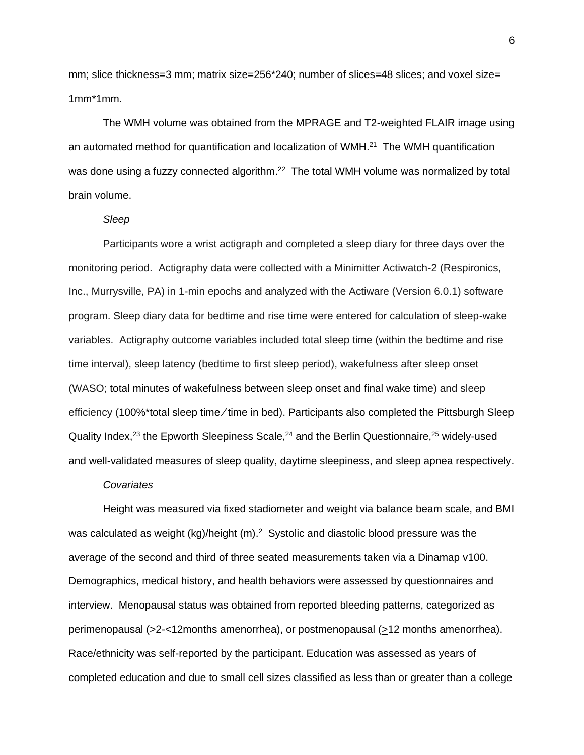mm; slice thickness=3 mm; matrix size=256\*240; number of slices=48 slices; and voxel size= 1mm\*1mm.

The WMH volume was obtained from the MPRAGE and T2-weighted FLAIR image using an automated method for quantification and localization of WMH.<sup>[21](#page-16-0)</sup> The WMH quantification was done using a fuzzy connected algorithm.<sup>[22](#page-16-1)</sup> The total WMH volume was normalized by total brain volume.

# *Sleep*

Participants wore a wrist actigraph and completed a sleep diary for three days over the monitoring period. Actigraphy data were collected with a Minimitter Actiwatch-2 (Respironics, Inc., Murrysville, PA) in 1-min epochs and analyzed with the Actiware (Version 6.0.1) software program. Sleep diary data for bedtime and rise time were entered for calculation of sleep-wake variables. Actigraphy outcome variables included total sleep time (within the bedtime and rise time interval), sleep latency (bedtime to first sleep period), wakefulness after sleep onset (WASO; total minutes of wakefulness between sleep onset and final wake time) and sleep efficiency (100%\*total sleep time/time in bed). Participants also completed the Pittsburgh Sleep Quality Index,<sup>[23](#page-16-2)</sup> the Epworth Sleepiness Scale,<sup>[24](#page-16-3)</sup> and the Berlin Questionnaire,<sup>[25](#page-16-4)</sup> widely-used and well-validated measures of sleep quality, daytime sleepiness, and sleep apnea respectively.

## *Covariates*

Height was measured via fixed stadiometer and weight via balance beam scale, and BMI was calculated as weight (kg)/height (m).<sup>2</sup> Systolic and diastolic blood pressure was the average of the second and third of three seated measurements taken via a Dinamap v100. Demographics, medical history, and health behaviors were assessed by questionnaires and interview. Menopausal status was obtained from reported bleeding patterns, categorized as perimenopausal (>2-<12months amenorrhea), or postmenopausal (>12 months amenorrhea). Race/ethnicity was self-reported by the participant. Education was assessed as years of completed education and due to small cell sizes classified as less than or greater than a college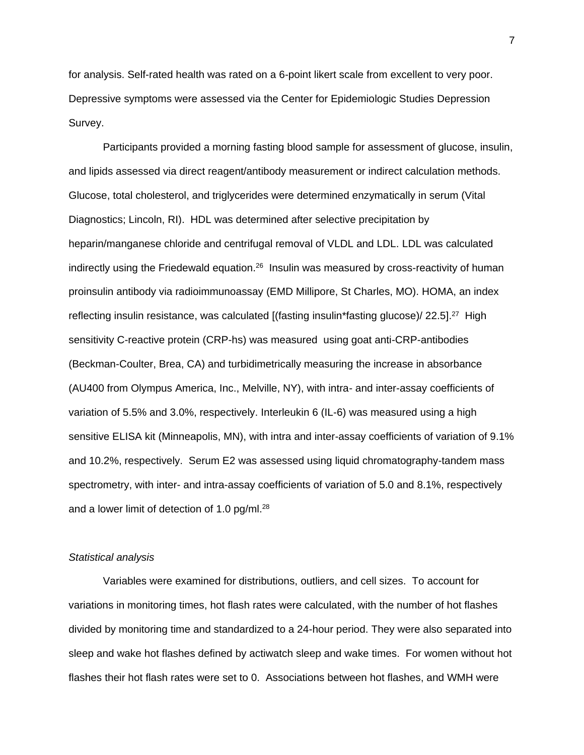for analysis. Self-rated health was rated on a 6-point likert scale from excellent to very poor. Depressive symptoms were assessed via the Center for Epidemiologic Studies Depression Survey.

Participants provided a morning fasting blood sample for assessment of glucose, insulin, and lipids assessed via direct reagent/antibody measurement or indirect calculation methods. Glucose, total cholesterol, and triglycerides were determined enzymatically in serum (Vital Diagnostics; Lincoln, RI). HDL was determined after selective precipitation by heparin/manganese chloride and centrifugal removal of VLDL and LDL. LDL was calculated indirectly using the Friedewald equation.<sup>[26](#page-16-5)</sup> Insulin was measured by cross-reactivity of human proinsulin antibody via radioimmunoassay (EMD Millipore, St Charles, MO). HOMA, an index reflecting insulin resistance, was calculated [(fasting insulin\*fasting glucose)/ 22.5].<sup>[27](#page-16-6)</sup> High sensitivity C-reactive protein (CRP-hs) was measured using goat anti-CRP-antibodies (Beckman-Coulter, Brea, CA) and turbidimetrically measuring the increase in absorbance (AU400 from Olympus America, Inc., Melville, NY), with intra- and inter-assay coefficients of variation of 5.5% and 3.0%, respectively. Interleukin 6 (IL-6) was measured using a high sensitive ELISA kit (Minneapolis, MN), with intra and inter-assay coefficients of variation of 9.1% and 10.2%, respectively. Serum E2 was assessed using liquid chromatography-tandem mass spectrometry, with inter- and intra-assay coefficients of variation of 5.0 and 8.1%, respectively and a lower limit of detection of 1.0 pg/ml.<sup>[28](#page-16-7)</sup>

# *Statistical analysis*

Variables were examined for distributions, outliers, and cell sizes. To account for variations in monitoring times, hot flash rates were calculated, with the number of hot flashes divided by monitoring time and standardized to a 24-hour period. They were also separated into sleep and wake hot flashes defined by actiwatch sleep and wake times. For women without hot flashes their hot flash rates were set to 0. Associations between hot flashes, and WMH were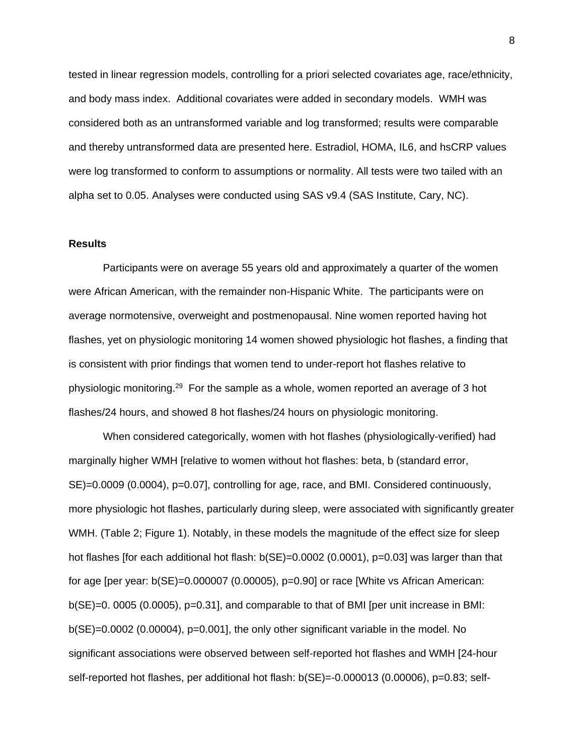tested in linear regression models, controlling for a priori selected covariates age, race/ethnicity, and body mass index. Additional covariates were added in secondary models. WMH was considered both as an untransformed variable and log transformed; results were comparable and thereby untransformed data are presented here. Estradiol, HOMA, IL6, and hsCRP values were log transformed to conform to assumptions or normality. All tests were two tailed with an alpha set to 0.05. Analyses were conducted using SAS v9.4 (SAS Institute, Cary, NC).

## **Results**

Participants were on average 55 years old and approximately a quarter of the women were African American, with the remainder non-Hispanic White. The participants were on average normotensive, overweight and postmenopausal. Nine women reported having hot flashes, yet on physiologic monitoring 14 women showed physiologic hot flashes, a finding that is consistent with prior findings that women tend to under-report hot flashes relative to physiologic monitoring. [29](#page-16-8) For the sample as a whole, women reported an average of 3 hot flashes/24 hours, and showed 8 hot flashes/24 hours on physiologic monitoring.

When considered categorically, women with hot flashes (physiologically-verified) had marginally higher WMH [relative to women without hot flashes: beta, b (standard error, SE)=0.0009 (0.0004), p=0.07], controlling for age, race, and BMI. Considered continuously, more physiologic hot flashes, particularly during sleep, were associated with significantly greater WMH. (Table 2; Figure 1). Notably, in these models the magnitude of the effect size for sleep hot flashes [for each additional hot flash: b(SE)=0.0002 (0.0001), p=0.03] was larger than that for age [per year: b(SE)=0.000007 (0.00005), p=0.90] or race [White vs African American: b(SE)=0. 0005 (0.0005), p=0.31], and comparable to that of BMI [per unit increase in BMI: b(SE)=0.0002 (0.00004), p=0.001], the only other significant variable in the model. No significant associations were observed between self-reported hot flashes and WMH [24-hour self-reported hot flashes, per additional hot flash: b(SE)=-0.000013 (0.00006), p=0.83; self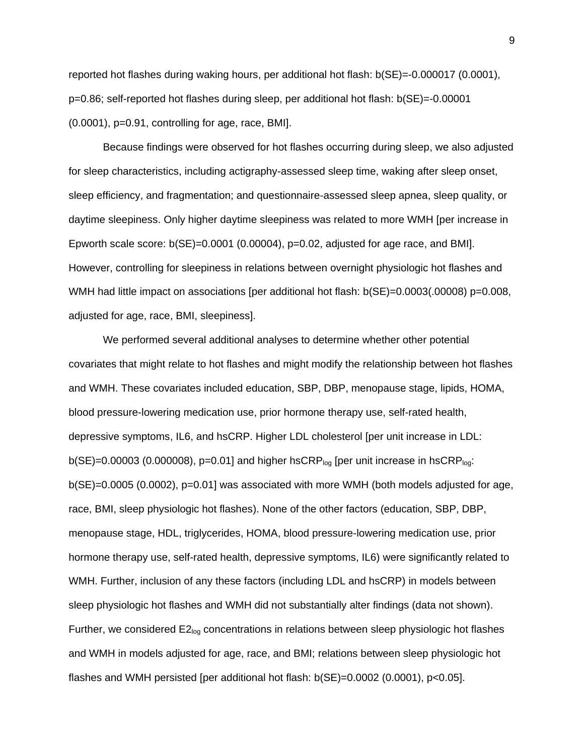reported hot flashes during waking hours, per additional hot flash:  $b(SE) = -0.000017$  (0.0001), p=0.86; self-reported hot flashes during sleep, per additional hot flash: b(SE)=-0.00001  $(0.0001)$ ,  $p=0.91$ , controlling for age, race, BMI].

Because findings were observed for hot flashes occurring during sleep, we also adjusted for sleep characteristics, including actigraphy-assessed sleep time, waking after sleep onset, sleep efficiency, and fragmentation; and questionnaire-assessed sleep apnea, sleep quality, or daytime sleepiness. Only higher daytime sleepiness was related to more WMH [per increase in Epworth scale score:  $b(SE) = 0.0001$  (0.00004),  $p=0.02$ , adjusted for age race, and BMI]. However, controlling for sleepiness in relations between overnight physiologic hot flashes and WMH had little impact on associations [per additional hot flash: b(SE)=0.0003(.00008) p=0.008, adjusted for age, race, BMI, sleepiness].

We performed several additional analyses to determine whether other potential covariates that might relate to hot flashes and might modify the relationship between hot flashes and WMH. These covariates included education, SBP, DBP, menopause stage, lipids, HOMA, blood pressure-lowering medication use, prior hormone therapy use, self-rated health, depressive symptoms, IL6, and hsCRP. Higher LDL cholesterol [per unit increase in LDL:  $b(SE) = 0.00003$  (0.000008), p=0.01] and higher hsCRP<sub>log</sub> [per unit increase in hsCRP<sub>log</sub>: b(SE)=0.0005 (0.0002), p=0.01] was associated with more WMH (both models adjusted for age, race, BMI, sleep physiologic hot flashes). None of the other factors (education, SBP, DBP, menopause stage, HDL, triglycerides, HOMA, blood pressure-lowering medication use, prior hormone therapy use, self-rated health, depressive symptoms, IL6) were significantly related to WMH. Further, inclusion of any these factors (including LDL and hsCRP) in models between sleep physiologic hot flashes and WMH did not substantially alter findings (data not shown). Further, we considered  $E2_{\text{log}}$  concentrations in relations between sleep physiologic hot flashes and WMH in models adjusted for age, race, and BMI; relations between sleep physiologic hot flashes and WMH persisted [per additional hot flash: b(SE)=0.0002 (0.0001), p<0.05].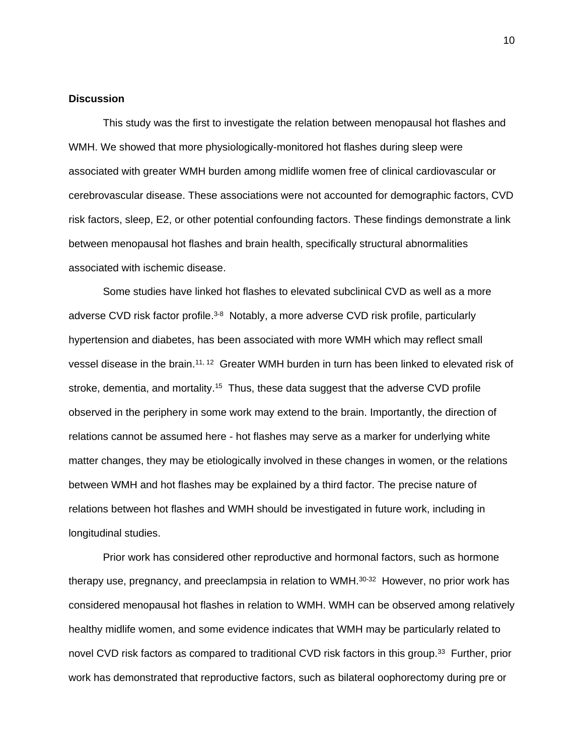#### **Discussion**

This study was the first to investigate the relation between menopausal hot flashes and WMH. We showed that more physiologically-monitored hot flashes during sleep were associated with greater WMH burden among midlife women free of clinical cardiovascular or cerebrovascular disease. These associations were not accounted for demographic factors, CVD risk factors, sleep, E2, or other potential confounding factors. These findings demonstrate a link between menopausal hot flashes and brain health, specifically structural abnormalities associated with ischemic disease.

Some studies have linked hot flashes to elevated subclinical CVD as well as a more adverse CVD risk factor profile.<sup>[3-8](#page-14-2)</sup> Notably, a more adverse CVD risk profile, particularly hypertension and diabetes, has been associated with more WMH which may reflect small vessel disease in the brain.<sup>[11,](#page-15-0) [12](#page-15-8)</sup> Greater WMH burden in turn has been linked to elevated risk of stroke, dementia, and mortality.<sup>[15](#page-15-2)</sup> Thus, these data suggest that the adverse CVD profile observed in the periphery in some work may extend to the brain. Importantly, the direction of relations cannot be assumed here - hot flashes may serve as a marker for underlying white matter changes, they may be etiologically involved in these changes in women, or the relations between WMH and hot flashes may be explained by a third factor. The precise nature of relations between hot flashes and WMH should be investigated in future work, including in longitudinal studies.

Prior work has considered other reproductive and hormonal factors, such as hormone therapy use, pregnancy, and preeclampsia in relation to WMH.<sup>[30-32](#page-17-0)</sup> However, no prior work has considered menopausal hot flashes in relation to WMH. WMH can be observed among relatively healthy midlife women, and some evidence indicates that WMH may be particularly related to novel CVD risk factors as compared to traditional CVD risk factors in this group.<sup>[33](#page-17-1)</sup> Further, prior work has demonstrated that reproductive factors, such as bilateral oophorectomy during pre or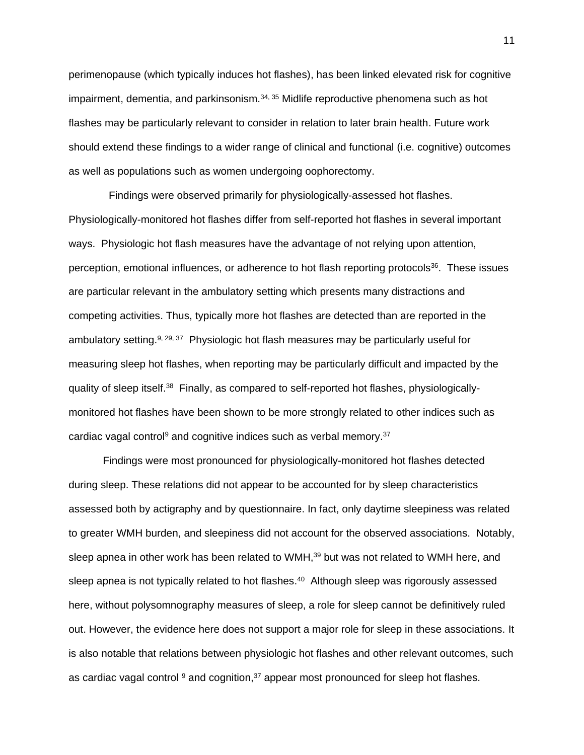perimenopause (which typically induces hot flashes), has been linked elevated risk for cognitive impairment, dementia, and parkinsonism. $34,35$  $34,35$  Midlife reproductive phenomena such as hot flashes may be particularly relevant to consider in relation to later brain health. Future work should extend these findings to a wider range of clinical and functional (i.e. cognitive) outcomes as well as populations such as women undergoing oophorectomy.

 Findings were observed primarily for physiologically-assessed hot flashes. Physiologically-monitored hot flashes differ from self-reported hot flashes in several important ways. Physiologic hot flash measures have the advantage of not relying upon attention, perception, emotional influences, or adherence to hot flash reporting protocols<sup>[36](#page-17-4)</sup>. These issues are particular relevant in the ambulatory setting which presents many distractions and competing activities. Thus, typically more hot flashes are detected than are reported in the ambulatory setting.<sup>[9,](#page-14-8) [29,](#page-16-8) [37](#page-17-5)</sup> Physiologic hot flash measures may be particularly useful for measuring sleep hot flashes, when reporting may be particularly difficult and impacted by the quality of sleep itself.<sup>[38](#page-17-6)</sup> Finally, as compared to self-reported hot flashes, physiologicallymonitored hot flashes have been shown to be more strongly related to other indices such as cardiac vagal control<sup>[9](#page-14-8)</sup> and cognitive indices such as verbal memory.<sup>[37](#page-17-5)</sup>

Findings were most pronounced for physiologically-monitored hot flashes detected during sleep. These relations did not appear to be accounted for by sleep characteristics assessed both by actigraphy and by questionnaire. In fact, only daytime sleepiness was related to greater WMH burden, and sleepiness did not account for the observed associations. Notably, sleep apnea in other work has been related to WMH,<sup>[39](#page-18-0)</sup> but was not related to WMH here, and sleep apnea is not typically related to hot flashes.<sup>[40](#page-18-1)</sup> Although sleep was rigorously assessed here, without polysomnography measures of sleep, a role for sleep cannot be definitively ruled out. However, the evidence here does not support a major role for sleep in these associations. It is also notable that relations between physiologic hot flashes and other relevant outcomes, such as cardiac vagal control <sup>[9](#page-14-8)</sup> and cognition,<sup>[37](#page-17-5)</sup> appear most pronounced for sleep hot flashes.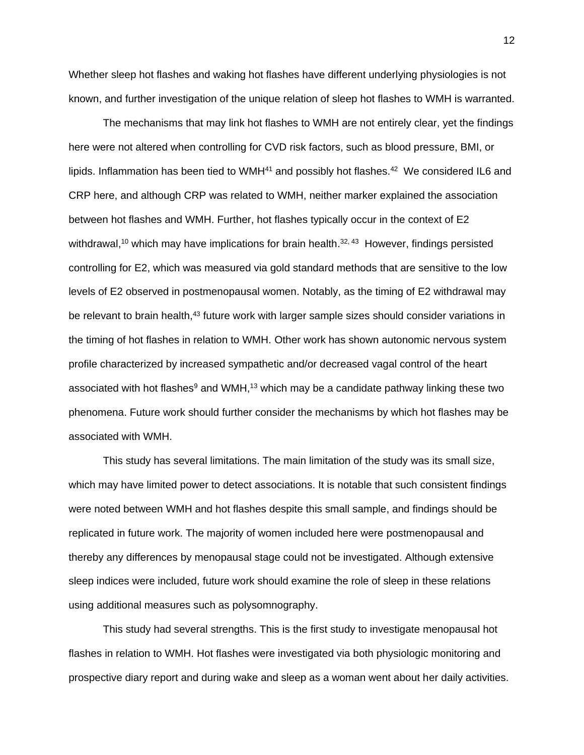Whether sleep hot flashes and waking hot flashes have different underlying physiologies is not known, and further investigation of the unique relation of sleep hot flashes to WMH is warranted.

The mechanisms that may link hot flashes to WMH are not entirely clear, yet the findings here were not altered when controlling for CVD risk factors, such as blood pressure, BMI, or lipids. Inflammation has been tied to WMH<sup>[41](#page-18-2)</sup> and possibly hot flashes.<sup>[42](#page-18-3)</sup> We considered IL6 and CRP here, and although CRP was related to WMH, neither marker explained the association between hot flashes and WMH. Further, hot flashes typically occur in the context of E2 withdrawal,<sup>[10](#page-14-9)</sup> which may have implications for brain health.<sup>[32,](#page-17-7) [43](#page-18-4)</sup> However, findings persisted controlling for E2, which was measured via gold standard methods that are sensitive to the low levels of E2 observed in postmenopausal women. Notably, as the timing of E2 withdrawal may be relevant to brain health,<sup>[43](#page-18-4)</sup> future work with larger sample sizes should consider variations in the timing of hot flashes in relation to WMH. Other work has shown autonomic nervous system profile characterized by increased sympathetic and/or decreased vagal control of the heart associated with hot flashes<sup>[9](#page-14-8)</sup> and WMH,<sup>[13](#page-15-9)</sup> which may be a candidate pathway linking these two phenomena. Future work should further consider the mechanisms by which hot flashes may be associated with WMH.

This study has several limitations. The main limitation of the study was its small size, which may have limited power to detect associations. It is notable that such consistent findings were noted between WMH and hot flashes despite this small sample, and findings should be replicated in future work. The majority of women included here were postmenopausal and thereby any differences by menopausal stage could not be investigated. Although extensive sleep indices were included, future work should examine the role of sleep in these relations using additional measures such as polysomnography.

This study had several strengths. This is the first study to investigate menopausal hot flashes in relation to WMH. Hot flashes were investigated via both physiologic monitoring and prospective diary report and during wake and sleep as a woman went about her daily activities.

12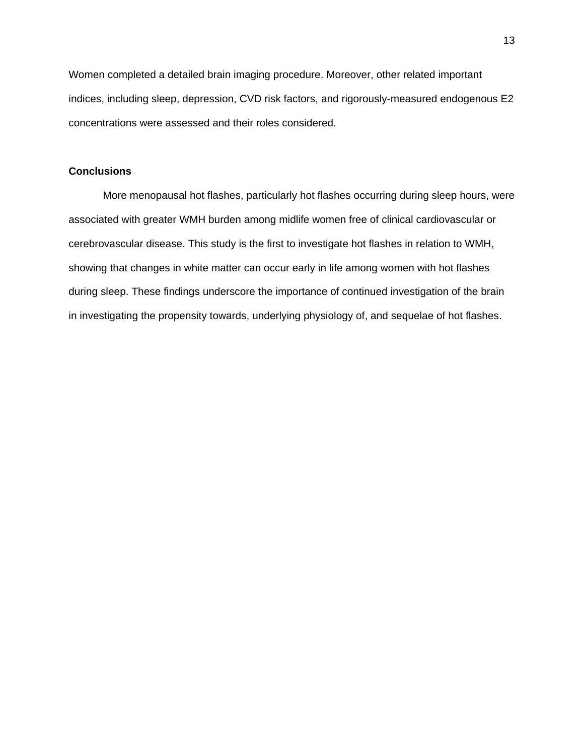Women completed a detailed brain imaging procedure. Moreover, other related important indices, including sleep, depression, CVD risk factors, and rigorously-measured endogenous E2 concentrations were assessed and their roles considered.

## **Conclusions**

More menopausal hot flashes, particularly hot flashes occurring during sleep hours, were associated with greater WMH burden among midlife women free of clinical cardiovascular or cerebrovascular disease. This study is the first to investigate hot flashes in relation to WMH, showing that changes in white matter can occur early in life among women with hot flashes during sleep. These findings underscore the importance of continued investigation of the brain in investigating the propensity towards, underlying physiology of, and sequelae of hot flashes.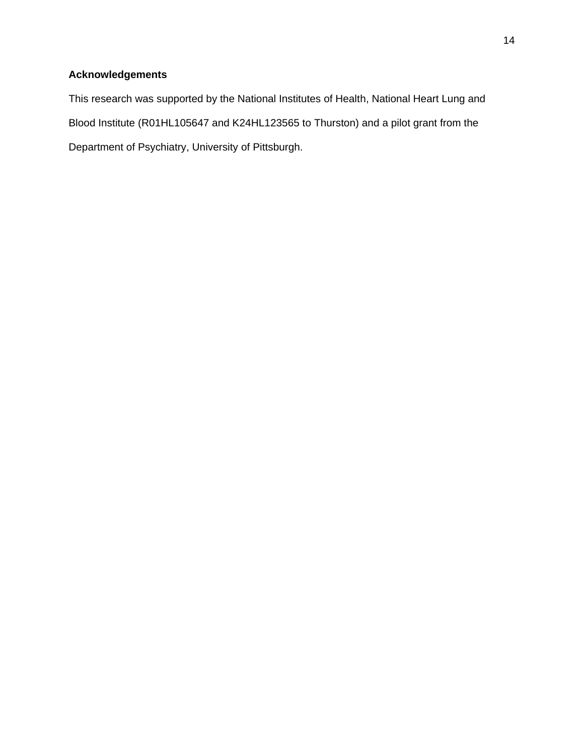# **Acknowledgements**

This research was supported by the National Institutes of Health, National Heart Lung and Blood Institute (R01HL105647 and K24HL123565 to Thurston) and a pilot grant from the Department of Psychiatry, University of Pittsburgh.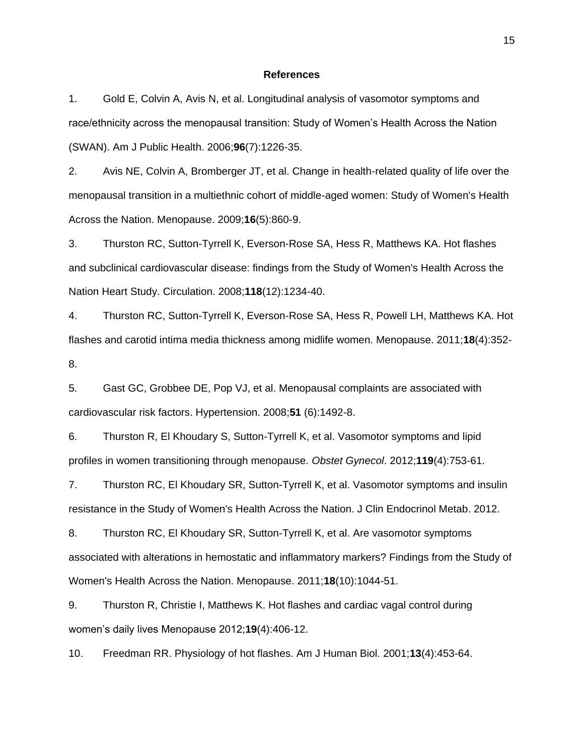#### **References**

<span id="page-14-0"></span>1. Gold E, Colvin A, Avis N, et al. Longitudinal analysis of vasomotor symptoms and race/ethnicity across the menopausal transition: Study of Women's Health Across the Nation (SWAN). Am J Public Health. 2006;**96**(7):1226-35.

<span id="page-14-1"></span>2. Avis NE, Colvin A, Bromberger JT, et al. Change in health-related quality of life over the menopausal transition in a multiethnic cohort of middle-aged women: Study of Women's Health Across the Nation. Menopause. 2009;**16**(5):860-9.

<span id="page-14-2"></span>3. Thurston RC, Sutton-Tyrrell K, Everson-Rose SA, Hess R, Matthews KA. Hot flashes and subclinical cardiovascular disease: findings from the Study of Women's Health Across the Nation Heart Study. Circulation. 2008;**118**(12):1234-40.

<span id="page-14-3"></span>4. Thurston RC, Sutton-Tyrrell K, Everson-Rose SA, Hess R, Powell LH, Matthews KA. Hot flashes and carotid intima media thickness among midlife women. Menopause. 2011;**18**(4):352- 8.

<span id="page-14-4"></span>5. Gast GC, Grobbee DE, Pop VJ, et al. Menopausal complaints are associated with cardiovascular risk factors. Hypertension. 2008;**51** (6):1492-8.

<span id="page-14-5"></span>6. Thurston R, El Khoudary S, Sutton-Tyrrell K, et al. Vasomotor symptoms and lipid profiles in women transitioning through menopause. *Obstet Gynecol*. 2012;**119**(4):753-61.

<span id="page-14-6"></span>7. Thurston RC, El Khoudary SR, Sutton-Tyrrell K, et al. Vasomotor symptoms and insulin resistance in the Study of Women's Health Across the Nation. J Clin Endocrinol Metab. 2012.

<span id="page-14-7"></span>8. Thurston RC, El Khoudary SR, Sutton-Tyrrell K, et al. Are vasomotor symptoms associated with alterations in hemostatic and inflammatory markers? Findings from the Study of Women's Health Across the Nation. Menopause. 2011;**18**(10):1044-51.

<span id="page-14-8"></span>9. Thurston R, Christie I, Matthews K. Hot flashes and cardiac vagal control during women's daily lives Menopause 2012;**19**(4):406-12.

<span id="page-14-9"></span>10. Freedman RR. Physiology of hot flashes. Am J Human Biol. 2001;**13**(4):453-64.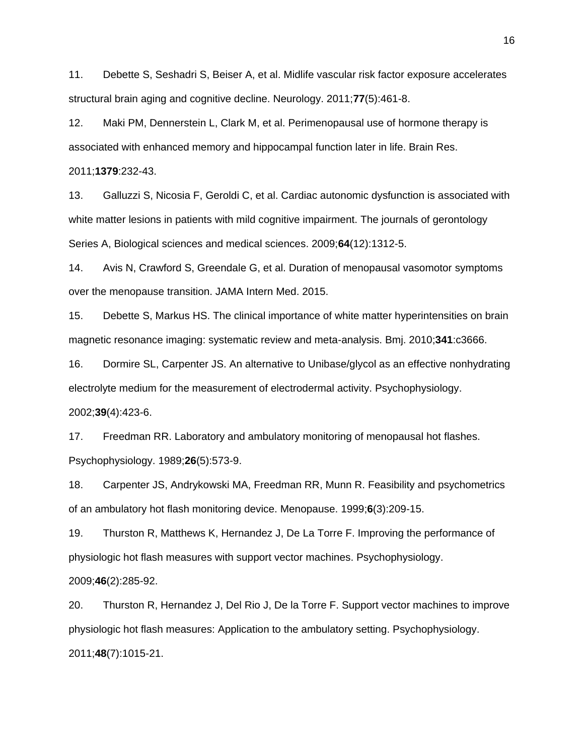<span id="page-15-0"></span>11. Debette S, Seshadri S, Beiser A, et al. Midlife vascular risk factor exposure accelerates structural brain aging and cognitive decline. Neurology. 2011;**77**(5):461-8.

<span id="page-15-8"></span>12. Maki PM, Dennerstein L, Clark M, et al. Perimenopausal use of hormone therapy is associated with enhanced memory and hippocampal function later in life. Brain Res.

2011;**1379**:232-43.

<span id="page-15-9"></span>13. Galluzzi S, Nicosia F, Geroldi C, et al. Cardiac autonomic dysfunction is associated with white matter lesions in patients with mild cognitive impairment. The journals of gerontology Series A, Biological sciences and medical sciences. 2009;**64**(12):1312-5.

<span id="page-15-1"></span>14. Avis N, Crawford S, Greendale G, et al. Duration of menopausal vasomotor symptoms over the menopause transition. JAMA Intern Med. 2015.

<span id="page-15-2"></span>15. Debette S, Markus HS. The clinical importance of white matter hyperintensities on brain magnetic resonance imaging: systematic review and meta-analysis. Bmj. 2010;**341**:c3666.

<span id="page-15-3"></span>16. Dormire SL, Carpenter JS. An alternative to Unibase/glycol as an effective nonhydrating electrolyte medium for the measurement of electrodermal activity. Psychophysiology. 2002;**39**(4):423-6.

<span id="page-15-4"></span>17. Freedman RR. Laboratory and ambulatory monitoring of menopausal hot flashes. Psychophysiology. 1989;**26**(5):573-9.

<span id="page-15-5"></span>18. Carpenter JS, Andrykowski MA, Freedman RR, Munn R. Feasibility and psychometrics of an ambulatory hot flash monitoring device. Menopause. 1999;**6**(3):209-15.

<span id="page-15-6"></span>19. Thurston R, Matthews K, Hernandez J, De La Torre F. Improving the performance of physiologic hot flash measures with support vector machines. Psychophysiology.

2009;**46**(2):285-92.

<span id="page-15-7"></span>20. Thurston R, Hernandez J, Del Rio J, De la Torre F. Support vector machines to improve physiologic hot flash measures: Application to the ambulatory setting. Psychophysiology. 2011;**48**(7):1015-21.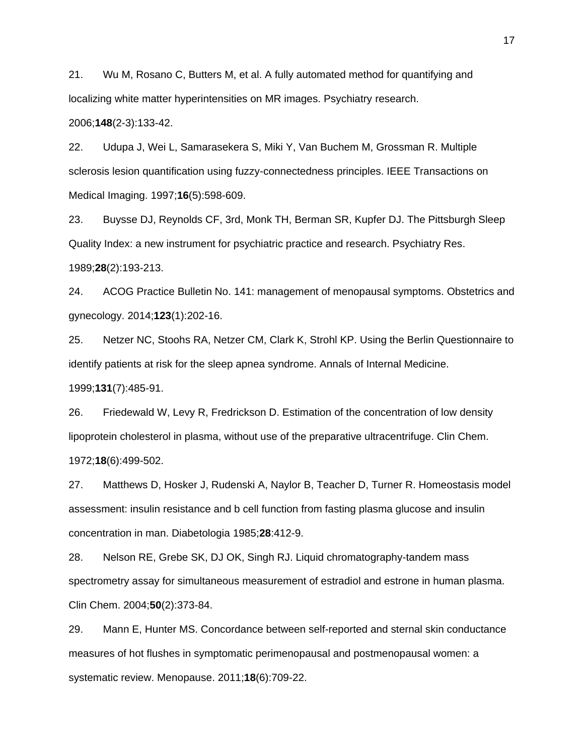<span id="page-16-0"></span>21. Wu M, Rosano C, Butters M, et al. A fully automated method for quantifying and localizing white matter hyperintensities on MR images. Psychiatry research. 2006;**148**(2-3):133-42.

<span id="page-16-1"></span>22. Udupa J, Wei L, Samarasekera S, Miki Y, Van Buchem M, Grossman R. Multiple sclerosis lesion quantification using fuzzy-connectedness principles. IEEE Transactions on Medical Imaging. 1997;**16**(5):598-609.

<span id="page-16-2"></span>23. Buysse DJ, Reynolds CF, 3rd, Monk TH, Berman SR, Kupfer DJ. The Pittsburgh Sleep Quality Index: a new instrument for psychiatric practice and research. Psychiatry Res. 1989;**28**(2):193-213.

<span id="page-16-3"></span>24. ACOG Practice Bulletin No. 141: management of menopausal symptoms. Obstetrics and gynecology. 2014;**123**(1):202-16.

<span id="page-16-4"></span>25. Netzer NC, Stoohs RA, Netzer CM, Clark K, Strohl KP. Using the Berlin Questionnaire to identify patients at risk for the sleep apnea syndrome. Annals of Internal Medicine. 1999;**131**(7):485-91.

<span id="page-16-5"></span>26. Friedewald W, Levy R, Fredrickson D. Estimation of the concentration of low density lipoprotein cholesterol in plasma, without use of the preparative ultracentrifuge. Clin Chem. 1972;**18**(6):499-502.

<span id="page-16-6"></span>27. Matthews D, Hosker J, Rudenski A, Naylor B, Teacher D, Turner R. Homeostasis model assessment: insulin resistance and b cell function from fasting plasma glucose and insulin concentration in man. Diabetologia 1985;**28**:412-9.

<span id="page-16-7"></span>28. Nelson RE, Grebe SK, DJ OK, Singh RJ. Liquid chromatography-tandem mass spectrometry assay for simultaneous measurement of estradiol and estrone in human plasma. Clin Chem. 2004;**50**(2):373-84.

<span id="page-16-8"></span>29. Mann E, Hunter MS. Concordance between self-reported and sternal skin conductance measures of hot flushes in symptomatic perimenopausal and postmenopausal women: a systematic review. Menopause. 2011;**18**(6):709-22.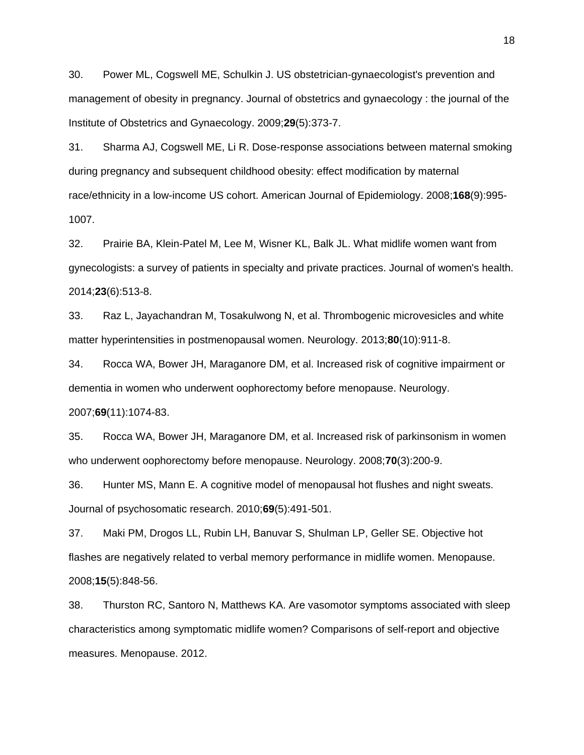<span id="page-17-0"></span>30. Power ML, Cogswell ME, Schulkin J. US obstetrician-gynaecologist's prevention and management of obesity in pregnancy. Journal of obstetrics and gynaecology : the journal of the Institute of Obstetrics and Gynaecology. 2009;**29**(5):373-7.

31. Sharma AJ, Cogswell ME, Li R. Dose-response associations between maternal smoking during pregnancy and subsequent childhood obesity: effect modification by maternal race/ethnicity in a low-income US cohort. American Journal of Epidemiology. 2008;**168**(9):995- 1007.

<span id="page-17-7"></span>32. Prairie BA, Klein-Patel M, Lee M, Wisner KL, Balk JL. What midlife women want from gynecologists: a survey of patients in specialty and private practices. Journal of women's health. 2014;**23**(6):513-8.

<span id="page-17-1"></span>33. Raz L, Jayachandran M, Tosakulwong N, et al. Thrombogenic microvesicles and white matter hyperintensities in postmenopausal women. Neurology. 2013;**80**(10):911-8.

<span id="page-17-2"></span>34. Rocca WA, Bower JH, Maraganore DM, et al. Increased risk of cognitive impairment or dementia in women who underwent oophorectomy before menopause. Neurology. 2007;**69**(11):1074-83.

<span id="page-17-3"></span>35. Rocca WA, Bower JH, Maraganore DM, et al. Increased risk of parkinsonism in women who underwent oophorectomy before menopause. Neurology. 2008;**70**(3):200-9.

<span id="page-17-4"></span>36. Hunter MS, Mann E. A cognitive model of menopausal hot flushes and night sweats. Journal of psychosomatic research. 2010;**69**(5):491-501.

<span id="page-17-5"></span>37. Maki PM, Drogos LL, Rubin LH, Banuvar S, Shulman LP, Geller SE. Objective hot flashes are negatively related to verbal memory performance in midlife women. Menopause. 2008;**15**(5):848-56.

<span id="page-17-6"></span>38. Thurston RC, Santoro N, Matthews KA. Are vasomotor symptoms associated with sleep characteristics among symptomatic midlife women? Comparisons of self-report and objective measures. Menopause. 2012.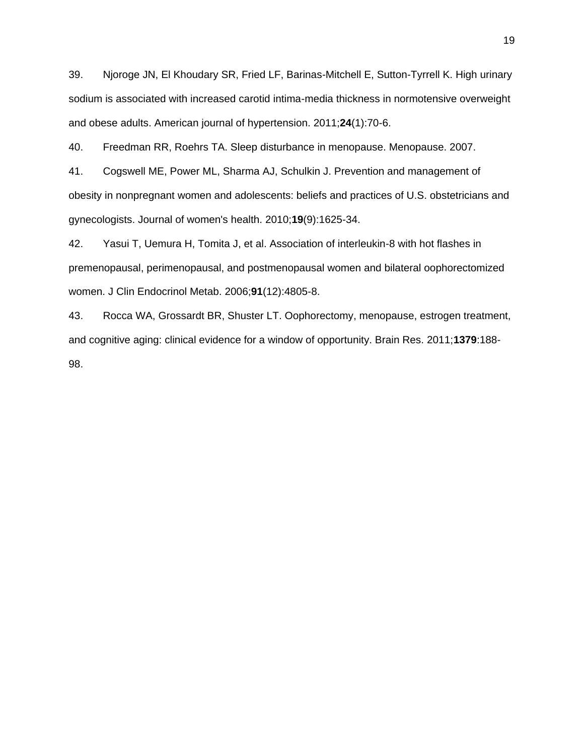<span id="page-18-0"></span>39. Njoroge JN, El Khoudary SR, Fried LF, Barinas-Mitchell E, Sutton-Tyrrell K. High urinary sodium is associated with increased carotid intima-media thickness in normotensive overweight and obese adults. American journal of hypertension. 2011;**24**(1):70-6.

<span id="page-18-1"></span>40. Freedman RR, Roehrs TA. Sleep disturbance in menopause. Menopause. 2007.

<span id="page-18-2"></span>41. Cogswell ME, Power ML, Sharma AJ, Schulkin J. Prevention and management of obesity in nonpregnant women and adolescents: beliefs and practices of U.S. obstetricians and gynecologists. Journal of women's health. 2010;**19**(9):1625-34.

<span id="page-18-3"></span>42. Yasui T, Uemura H, Tomita J, et al. Association of interleukin-8 with hot flashes in premenopausal, perimenopausal, and postmenopausal women and bilateral oophorectomized women. J Clin Endocrinol Metab. 2006;**91**(12):4805-8.

<span id="page-18-4"></span>43. Rocca WA, Grossardt BR, Shuster LT. Oophorectomy, menopause, estrogen treatment, and cognitive aging: clinical evidence for a window of opportunity. Brain Res. 2011;**1379**:188- 98.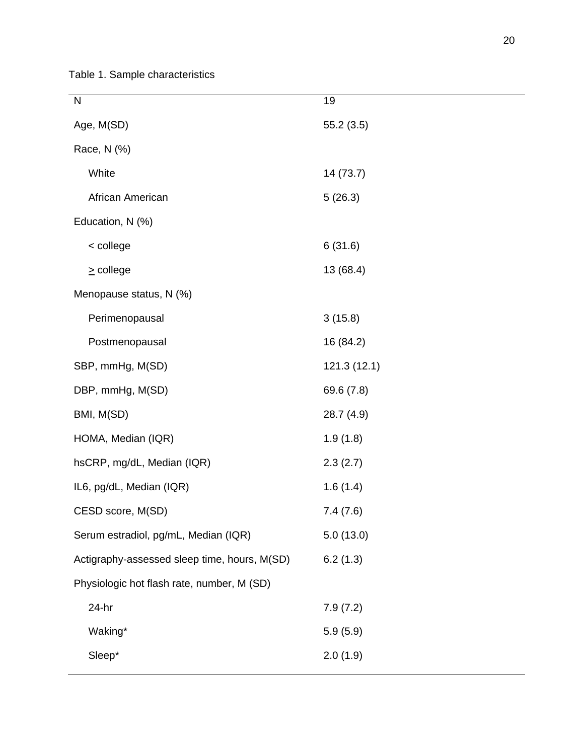Table 1. Sample characteristics

| N                                            | 19          |
|----------------------------------------------|-------------|
| Age, M(SD)                                   | 55.2(3.5)   |
| Race, N (%)                                  |             |
| White                                        | 14 (73.7)   |
| African American                             | 5(26.3)     |
| Education, N (%)                             |             |
| < college                                    | 6(31.6)     |
| $\geq$ college                               | 13 (68.4)   |
| Menopause status, N (%)                      |             |
| Perimenopausal                               | 3(15.8)     |
| Postmenopausal                               | 16 (84.2)   |
| SBP, mmHg, M(SD)                             | 121.3(12.1) |
| DBP, mmHg, M(SD)                             | 69.6 (7.8)  |
| BMI, M(SD)                                   | 28.7 (4.9)  |
| HOMA, Median (IQR)                           | 1.9(1.8)    |
| hsCRP, mg/dL, Median (IQR)                   | 2.3(2.7)    |
| IL6, pg/dL, Median (IQR)                     | 1.6(1.4)    |
| CESD score, M(SD)                            | 7.4(7.6)    |
| Serum estradiol, pg/mL, Median (IQR)         | 5.0(13.0)   |
| Actigraphy-assessed sleep time, hours, M(SD) | 6.2(1.3)    |
| Physiologic hot flash rate, number, M (SD)   |             |
| $24-hr$                                      | 7.9(7.2)    |
| Waking*                                      | 5.9(5.9)    |
| Sleep*                                       | 2.0(1.9)    |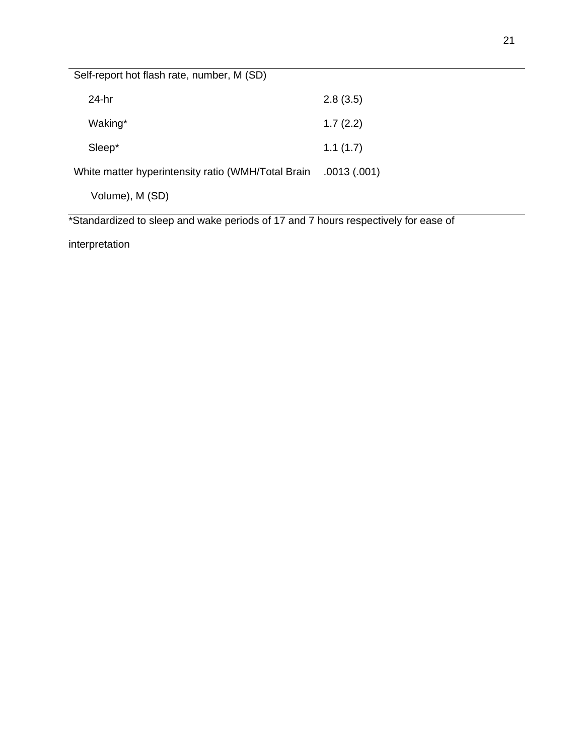| Self-report hot flash rate, number, M (SD)         |              |
|----------------------------------------------------|--------------|
| $24-hr$                                            | 2.8(3.5)     |
| Waking*                                            | 1.7(2.2)     |
| Sleep*                                             | 1.1(1.7)     |
| White matter hyperintensity ratio (WMH/Total Brain | .0013 (.001) |
| Volume), M (SD)                                    |              |

\*Standardized to sleep and wake periods of 17 and 7 hours respectively for ease of

interpretation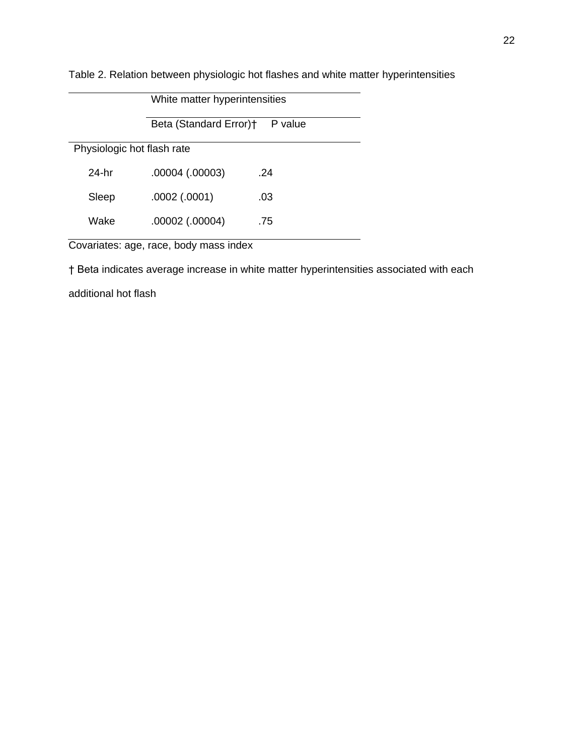| White matter hyperintensities     |                     |     |  |
|-----------------------------------|---------------------|-----|--|
| Beta (Standard Error)+<br>P value |                     |     |  |
| Physiologic hot flash rate        |                     |     |  |
| 24-hr                             | $.00004$ $(.00003)$ | .24 |  |
| Sleep                             | $.0002$ $(.0001)$   | .03 |  |
| Wake                              | .00002 (.00004)     | .75 |  |

Table 2. Relation between physiologic hot flashes and white matter hyperintensities

Covariates: age, race, body mass index

† Beta indicates average increase in white matter hyperintensities associated with each

additional hot flash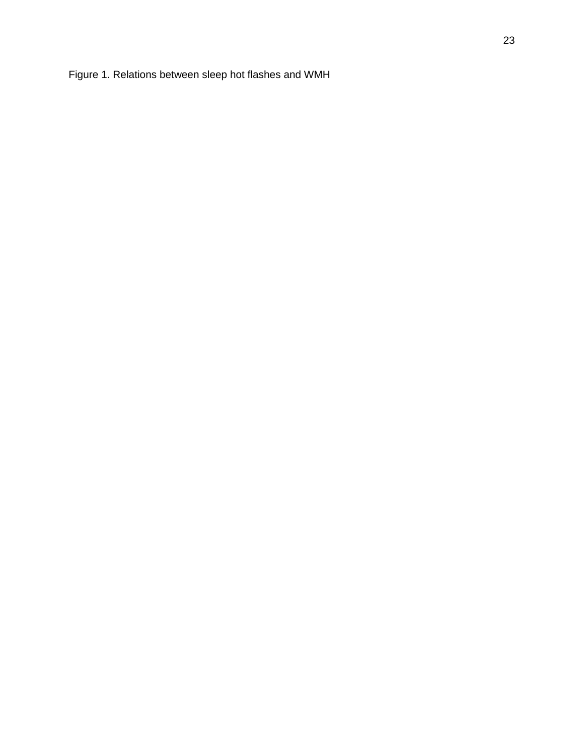Figure 1. Relations between sleep hot flashes and WMH